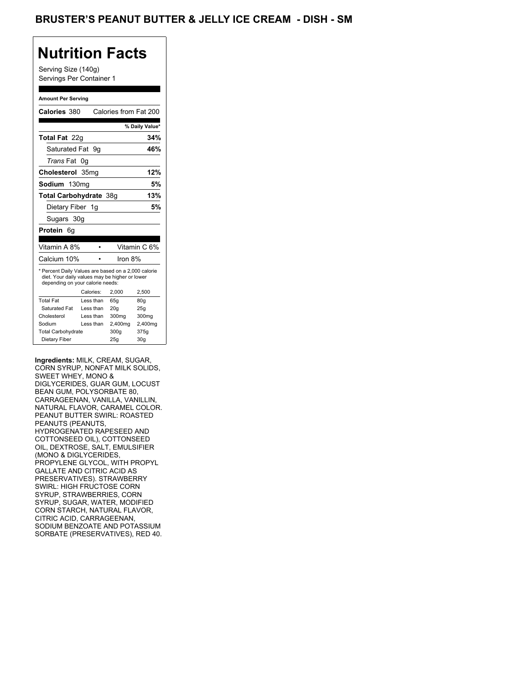## **Nutrition Facts**

Serving Size (140g) Servings Per Container 1

#### **Amount Per Serving**

| Calories 380                                                                                                                              |           | Calories from Fat 200 |                |
|-------------------------------------------------------------------------------------------------------------------------------------------|-----------|-----------------------|----------------|
|                                                                                                                                           |           |                       | % Daily Value* |
| <b>Total Fat</b> 22q                                                                                                                      |           |                       | 34%            |
| Saturated Fat 9q                                                                                                                          |           |                       | 46%            |
| <i>Trans</i> Fat                                                                                                                          | 0g        |                       |                |
| Cholesterol 35mg                                                                                                                          |           |                       | 12%            |
| Sodium 130ma                                                                                                                              |           |                       | 5%             |
| Total Carbohydrate 38g                                                                                                                    |           |                       | 13%            |
| Dietary Fiber 1g                                                                                                                          |           |                       | 5%             |
| Sugars 30g                                                                                                                                |           |                       |                |
| <b>Protein</b> 6q                                                                                                                         |           |                       |                |
|                                                                                                                                           |           |                       |                |
| Vitamin A 8%                                                                                                                              |           |                       | Vitamin C 6%   |
| Calcium 10%                                                                                                                               |           | Iron 8%               |                |
| * Percent Daily Values are based on a 2,000 calorie<br>diet. Your daily values may be higher or lower<br>depending on your calorie needs: |           |                       |                |
|                                                                                                                                           |           |                       |                |
|                                                                                                                                           | Calories: | 2.000                 | 2.500          |
| <b>Total Fat</b>                                                                                                                          | Less than | 65q                   | 80g            |
| Saturated Fat                                                                                                                             | Less than | 20q                   | 25q            |
| Cholesterol                                                                                                                               | Less than | 300mg                 | 300mg          |
| Sodium                                                                                                                                    | Less than | 2,400mg               | 2,400mg        |
| <b>Total Carbohydrate</b>                                                                                                                 |           | 300g                  | 375g           |

**Ingredients:** MILK, CREAM, SUGAR, CORN SYRUP, NONFAT MILK SOLIDS, SWEET WHEY, MONO & DIGLYCERIDES, GUAR GUM, LOCUST BEAN GUM, POLYSORBATE 80, CARRAGEENAN, VANILLA, VANILLIN, NATURAL FLAVOR, CARAMEL COLOR. PEANUT BUTTER SWIRL: ROASTED PEANUTS (PEANUTS, HYDROGENATED RAPESEED AND COTTONSEED OIL), COTTONSEED OIL, DEXTROSE, SALT, EMULSIFIER (MONO & DIGLYCERIDES, PROPYLENE GLYCOL, WITH PROPYL GALLATE AND CITRIC ACID AS PRESERVATIVES). STRAWBERRY SWIRL: HIGH FRUCTOSE CORN SYRUP, STRAWBERRIES, CORN SYRUP, SUGAR, WATER, MODIFIED CORN STARCH, NATURAL FLAVOR, CITRIC ACID, CARRAGEENAN, SODIUM BENZOATE AND POTASSIUM SORBATE (PRESERVATIVES), RED 40.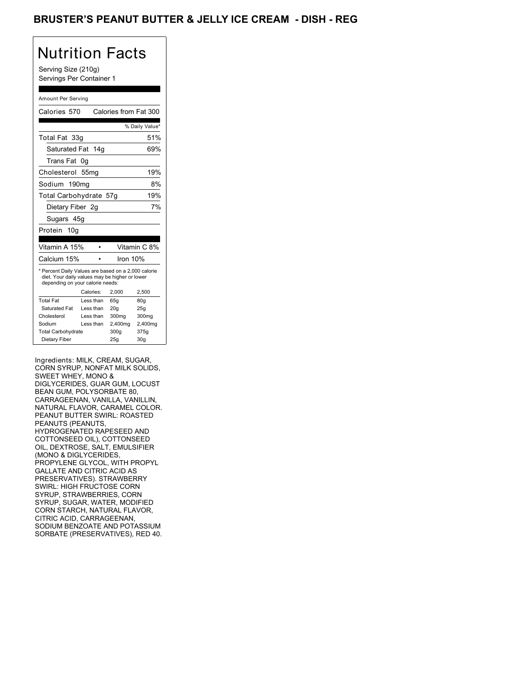## BRUSTER'S PEANUT BUTTER & JELLY ICE CREAM - DISH - REG

# Nutrition Facts

Serving Size (210g) Servings Per Container 1

### Amount Per Serving

| Calories 570                                                                                                                              |                  | Calories from Fat 300 |                |
|-------------------------------------------------------------------------------------------------------------------------------------------|------------------|-----------------------|----------------|
|                                                                                                                                           |                  |                       | % Daily Value* |
| Total Fat 33g                                                                                                                             |                  |                       | 51%            |
| Saturated Fat 14g                                                                                                                         |                  |                       | 69%            |
| Trans Fat 0q                                                                                                                              |                  |                       |                |
| Cholesterol                                                                                                                               | 55 <sub>mq</sub> |                       | 19%            |
| Sodium 190mg                                                                                                                              |                  |                       | 8%             |
| Total Carbohydrate 57g                                                                                                                    |                  |                       | 19%            |
| Dietary Fiber 2g                                                                                                                          |                  |                       | 7%             |
| Sugars 45g                                                                                                                                |                  |                       |                |
| Protein 10a                                                                                                                               |                  |                       |                |
| Vitamin A 15%                                                                                                                             |                  |                       | Vitamin C 8%   |
| Calcium 15%                                                                                                                               |                  | Iron 10%              |                |
| * Percent Daily Values are based on a 2,000 calorie<br>diet. Your daily values may be higher or lower<br>depending on your calorie needs: |                  |                       |                |
|                                                                                                                                           | Calories:        | 2.000                 | 2.500          |
| <b>Total Fat</b>                                                                                                                          | Less than        | 65q                   | 80q            |
| Saturated Fat                                                                                                                             | Less than        | 20q                   | 25q            |
| Cholesterol                                                                                                                               | Less than        | 300mg                 | 300mg          |
| Sodium                                                                                                                                    | Less than        | 2,400mg               | 2,400mg        |
| <b>Total Carbohydrate</b>                                                                                                                 |                  | 300g                  | 375g           |
| Dietary Fiber                                                                                                                             |                  | 25q                   | 30q            |

Ingredients: MILK, CREAM, SUGAR, CORN SYRUP, NONFAT MILK SOLIDS, SWEET WHEY, MONO & DIGLYCERIDES, GUAR GUM, LOCUST BEAN GUM, POLYSORBATE 80, CARRAGEENAN, VANILLA, VANILLIN, NATURAL FLAVOR, CARAMEL COLOR. PEANUT BUTTER SWIRL: ROASTED PEANUTS (PEANUTS, HYDROGENATED RAPESEED AND COTTONSEED OIL), COTTONSEED OIL, DEXTROSE, SALT, EMULSIFIER (MONO & DIGLYCERIDES, PROPYLENE GLYCOL, WITH PROPYL GALLATE AND CITRIC ACID AS PRESERVATIVES). STRAWBERRY SWIRL: HIGH FRUCTOSE CORN SYRUP, STRAWBERRIES, CORN SYRUP, SUGAR, WATER, MODIFIED CORN STARCH, NATURAL FLAVOR, CITRIC ACID, CARRAGEENAN, SODIUM BENZOATE AND POTASSIUM SORBATE (PRESERVATIVES), RED 40.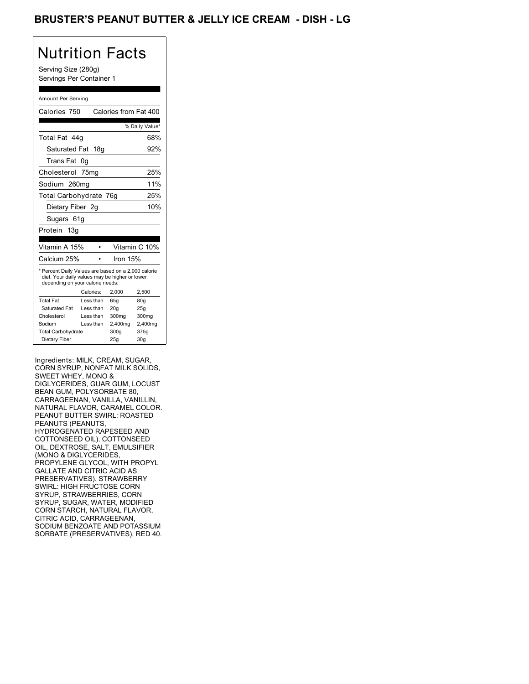## BRUSTER'S PEANUT BUTTER & JELLY ICE CREAM - DISH - LG

# Nutrition Facts

Serving Size (280g) Servings Per Container 1

#### Amount Per Serving

| Calories 750                                                                                                                              |                  | Calories from Fat 400 |                 |
|-------------------------------------------------------------------------------------------------------------------------------------------|------------------|-----------------------|-----------------|
|                                                                                                                                           |                  |                       |                 |
|                                                                                                                                           |                  |                       | % Daily Value*  |
| Total Fat 44g                                                                                                                             |                  |                       | 68%             |
| Saturated Fat 18g                                                                                                                         |                  |                       | 92%             |
| Trans Fat                                                                                                                                 | 0g               |                       |                 |
| Cholesterol                                                                                                                               | 75 <sub>mq</sub> |                       | 25%             |
| Sodium 260mg                                                                                                                              |                  |                       | 11%             |
| Total Carbohydrate 76g                                                                                                                    |                  |                       | 25%             |
| Dietary Fiber 2g                                                                                                                          |                  |                       | 10%             |
| Sugars 61g                                                                                                                                |                  |                       |                 |
| Protein<br>13a                                                                                                                            |                  |                       |                 |
|                                                                                                                                           |                  |                       |                 |
| Vitamin A 15%                                                                                                                             |                  |                       | Vitamin C 10%   |
| Calcium 25%                                                                                                                               |                  | Iron $15%$            |                 |
| * Percent Daily Values are based on a 2,000 calorie<br>diet. Your daily values may be higher or lower<br>depending on your calorie needs: |                  |                       |                 |
|                                                                                                                                           | Calories:        | 2,000                 | 2,500           |
| <b>Total Fat</b>                                                                                                                          | Less than        | 65g                   | 80g             |
| Saturated Fat                                                                                                                             | Less than        | 20q                   | 25g             |
| Cholesterol                                                                                                                               | Less than        | 300mg                 | 300mg           |
| Sodium                                                                                                                                    | Less than        | 2,400mg               | 2,400mg         |
| <b>Total Carbohydrate</b>                                                                                                                 |                  | 300q                  | 375g            |
| Dietary Fiber                                                                                                                             |                  | 25g                   | 30 <sub>g</sub> |

Ingredients: MILK, CREAM, SUGAR, CORN SYRUP, NONFAT MILK SOLIDS, SWEET WHEY, MONO & DIGLYCERIDES, GUAR GUM, LOCUST BEAN GUM, POLYSORBATE 80, CARRAGEENAN, VANILLA, VANILLIN, NATURAL FLAVOR, CARAMEL COLOR. PEANUT BUTTER SWIRL: ROASTED PEANUTS (PEANUTS, HYDROGENATED RAPESEED AND COTTONSEED OIL), COTTONSEED OIL, DEXTROSE, SALT, EMULSIFIER (MONO & DIGLYCERIDES, PROPYLENE GLYCOL, WITH PROPYL GALLATE AND CITRIC ACID AS PRESERVATIVES). STRAWBERRY SWIRL: HIGH FRUCTOSE CORN SYRUP, STRAWBERRIES, CORN SYRUP, SUGAR, WATER, MODIFIED CORN STARCH, NATURAL FLAVOR, CITRIC ACID, CARRAGEENAN, SODIUM BENZOATE AND POTASSIUM SORBATE (PRESERVATIVES), RED 40.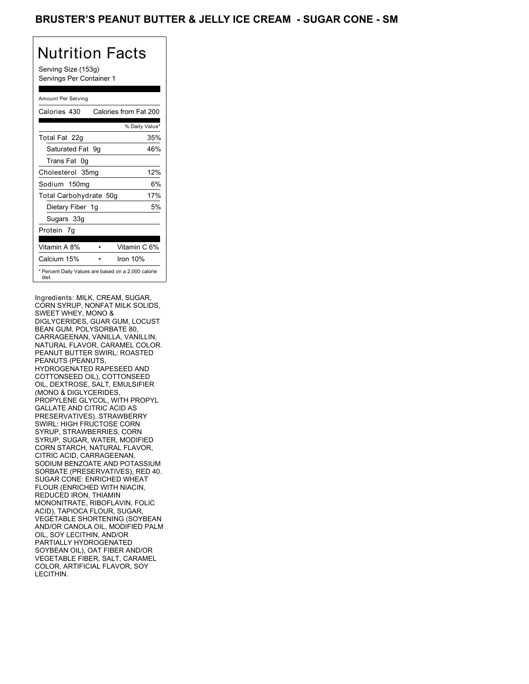## BRUSTER'S PEANUT BUTTER & JELLY ICE CREAM - SUGAR CONE - SM

# Nutrition Facts

Serving Size (153g) Servings Per Container 1

### Amount Per Serving

| Calories 430           | Calories from Fat 200                               |    |
|------------------------|-----------------------------------------------------|----|
|                        | % Daily Value*                                      |    |
| Total Fat 22g          | 35%                                                 |    |
| Saturated Fat 9q       | 46%                                                 |    |
| Trans Fat 0q           |                                                     |    |
| Cholesterol 35mg       | 12%                                                 |    |
| Sodium 150mg           |                                                     | 6% |
| Total Carbohydrate 50g | 17%                                                 |    |
| Dietary Fiber 1g       |                                                     | 5% |
| Sugars 33g             |                                                     |    |
| Protein 7q             |                                                     |    |
| Vitamin A 8%           | Vitamin C 6%                                        |    |
| Calcium 15%            | Iron $10%$                                          |    |
| diet.                  | * Percent Daily Values are based on a 2,000 calorie |    |

Ingredients: MILK, CREAM, SUGAR, CORN SYRUP, NONFAT MILK SOLIDS, SWEET WHEY, MONO & DIGLYCERIDES, GUAR GUM, LOCUST BEAN GUM, POLYSORBATE 80, CARRAGEENAN, VANILLA, VANILLIN, NATURAL FLAVOR, CARAMEL COLOR. PEANUT BUTTER SWIRL: ROASTED PEANUTS (PEANUTS, HYDROGENATED RAPESEED AND COTTONSEED OIL), COTTONSEED OIL, DEXTROSE, SALT, EMULSIFIER (MONO & DIGLYCERIDES, PROPYLENE GLYCOL, WITH PROPYL GALLATE AND CITRIC ACID AS PRESERVATIVES). STRAWBERRY SWIRL: HIGH FRUCTOSE CORN SYRUP, STRAWBERRIES, CORN SYRUP, SUGAR, WATER, MODIFIED CORN STARCH, NATURAL FLAVOR, CITRIC ACID, CARRAGEENAN, SODIUM BENZOATE AND POTASSIUM SORBATE (PRESERVATIVES), RED 40. SUGAR CONE: ENRICHED WHEAT FLOUR (ENRICHED WITH NIACIN, REDUCED IRON, THIAMIN MONONITRATE, RIBOFLAVIN, FOLIC ACID), TAPIOCA FLOUR, SUGAR, VEGETABLE SHORTENING (SOYBEAN AND/OR CANOLA OIL, MODIFIED PALM OIL, SOY LECITHIN, AND/OR PARTIALLY HYDROGENATED SOYBEAN OIL), OAT FIBER AND/OR VEGETABLE FIBER, SALT, CARAMEL COLOR, ARTIFICIAL FLAVOR, SOY LECITHIN.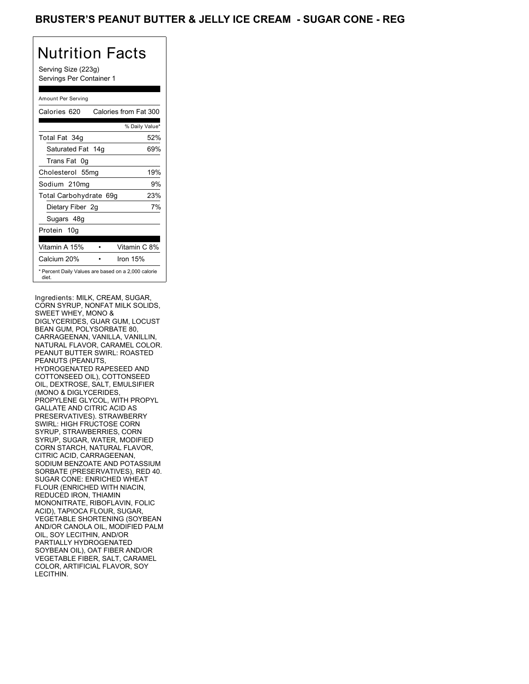## BRUSTER'S PEANUT BUTTER & JELLY ICE CREAM - SUGAR CONE - REG

# Nutrition Facts

Serving Size (223g) Servings Per Container 1

### Amount Per Serving

| Calories 620                                                 | Calories from Fat 300 |
|--------------------------------------------------------------|-----------------------|
|                                                              | % Daily Value*        |
| Total Fat 34g                                                | 52%                   |
| Saturated Fat 14g                                            | 69%                   |
| Trans Fat 0q                                                 |                       |
| Cholesterol 55mg                                             | 19%                   |
| Sodium 210mg                                                 | 9%                    |
| Total Carbohydrate 69g                                       | 23%                   |
| Dietary Fiber 2g                                             | 7%                    |
| Sugars 48g                                                   |                       |
| Protein 10g                                                  |                       |
| Vitamin A 15%                                                | Vitamin C 8%          |
| Calcium 20%                                                  | Iron 15%              |
| * Percent Daily Values are based on a 2,000 calorie<br>diet. |                       |

Ingredients: MILK, CREAM, SUGAR, CORN SYRUP, NONFAT MILK SOLIDS, SWEET WHEY, MONO & DIGLYCERIDES, GUAR GUM, LOCUST BEAN GUM, POLYSORBATE 80, CARRAGEENAN, VANILLA, VANILLIN, NATURAL FLAVOR, CARAMEL COLOR. PEANUT BUTTER SWIRL: ROASTED PEANUTS (PEANUTS, HYDROGENATED RAPESEED AND COTTONSEED OIL), COTTONSEED OIL, DEXTROSE, SALT, EMULSIFIER (MONO & DIGLYCERIDES, PROPYLENE GLYCOL, WITH PROPYL GALLATE AND CITRIC ACID AS PRESERVATIVES). STRAWBERRY SWIRL: HIGH FRUCTOSE CORN SYRUP, STRAWBERRIES, CORN SYRUP, SUGAR, WATER, MODIFIED CORN STARCH, NATURAL FLAVOR, CITRIC ACID, CARRAGEENAN, SODIUM BENZOATE AND POTASSIUM SORBATE (PRESERVATIVES), RED 40. SUGAR CONE: ENRICHED WHEAT FLOUR (ENRICHED WITH NIACIN, REDUCED IRON, THIAMIN MONONITRATE, RIBOFLAVIN, FOLIC ACID), TAPIOCA FLOUR, SUGAR, VEGETABLE SHORTENING (SOYBEAN AND/OR CANOLA OIL, MODIFIED PALM OIL, SOY LECITHIN, AND/OR PARTIALLY HYDROGENATED SOYBEAN OIL), OAT FIBER AND/OR VEGETABLE FIBER, SALT, CARAMEL COLOR, ARTIFICIAL FLAVOR, SOY LECITHIN.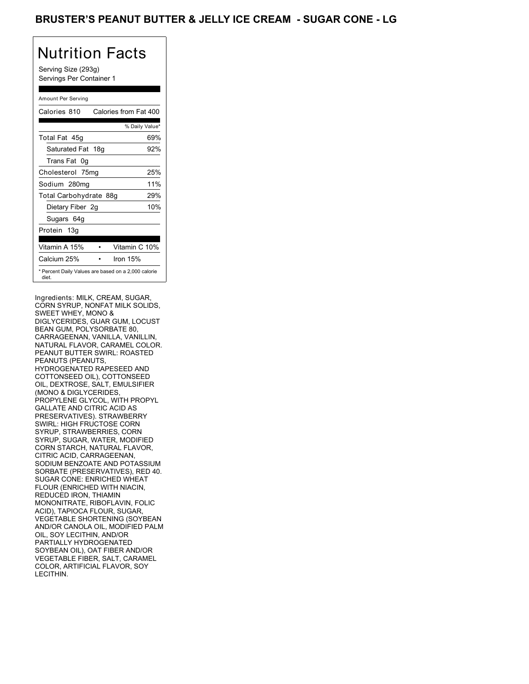## BRUSTER'S PEANUT BUTTER & JELLY ICE CREAM - SUGAR CONE - LG

## Nutrition Facts

Serving Size (293g) Servings Per Container 1

### Amount Per Serving

| Calories 810                                                 | Calories from Fat 400 |     |
|--------------------------------------------------------------|-----------------------|-----|
|                                                              | % Daily Value*        |     |
| Total Fat 45g                                                |                       | 69% |
| Saturated Fat 18g                                            |                       | 92% |
| Trans Fat 0q                                                 |                       |     |
| Cholesterol 75mg                                             |                       | 25% |
| Sodium 280mg                                                 |                       | 11% |
| Total Carbohydrate 88g                                       |                       | 29% |
| Dietary Fiber 2g                                             |                       | 10% |
| Sugars 64g                                                   |                       |     |
| Protein 13g                                                  |                       |     |
| Vitamin A 15%                                                | Vitamin C 10%         |     |
| Calcium 25%                                                  | Iron 15%              |     |
| * Percent Daily Values are based on a 2,000 calorie<br>diet. |                       |     |

Ingredients: MILK, CREAM, SUGAR, CORN SYRUP, NONFAT MILK SOLIDS, SWEET WHEY, MONO & DIGLYCERIDES, GUAR GUM, LOCUST BEAN GUM, POLYSORBATE 80, CARRAGEENAN, VANILLA, VANILLIN, NATURAL FLAVOR, CARAMEL COLOR. PEANUT BUTTER SWIRL: ROASTED PEANUTS (PEANUTS, HYDROGENATED RAPESEED AND COTTONSEED OIL), COTTONSEED OIL, DEXTROSE, SALT, EMULSIFIER (MONO & DIGLYCERIDES, PROPYLENE GLYCOL, WITH PROPYL GALLATE AND CITRIC ACID AS PRESERVATIVES). STRAWBERRY SWIRL: HIGH FRUCTOSE CORN SYRUP, STRAWBERRIES, CORN SYRUP, SUGAR, WATER, MODIFIED CORN STARCH, NATURAL FLAVOR, CITRIC ACID, CARRAGEENAN, SODIUM BENZOATE AND POTASSIUM SORBATE (PRESERVATIVES), RED 40. SUGAR CONE: ENRICHED WHEAT FLOUR (ENRICHED WITH NIACIN, REDUCED IRON, THIAMIN MONONITRATE, RIBOFLAVIN, FOLIC ACID), TAPIOCA FLOUR, SUGAR, VEGETABLE SHORTENING (SOYBEAN AND/OR CANOLA OIL, MODIFIED PALM OIL, SOY LECITHIN, AND/OR PARTIALLY HYDROGENATED SOYBEAN OIL), OAT FIBER AND/OR VEGETABLE FIBER, SALT, CARAMEL COLOR, ARTIFICIAL FLAVOR, SOY LECITHIN.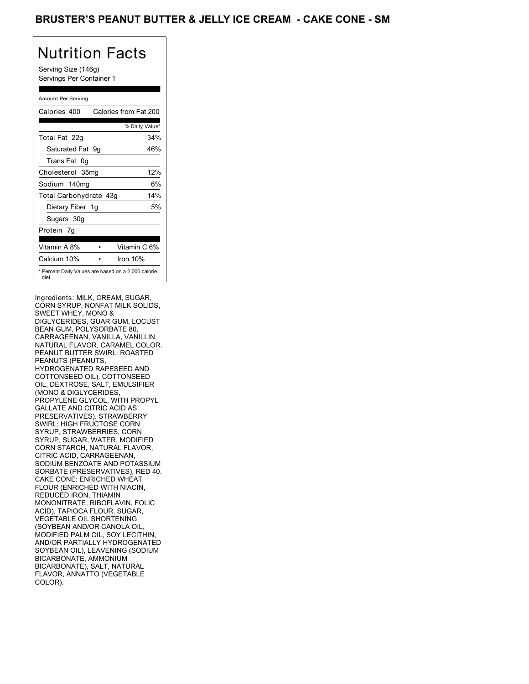## BRUSTER'S PEANUT BUTTER & JELLY ICE CREAM **- CAKE CONE - SM**

## Nutrition Facts

Serving Size (146g) Servings Per Container 1

### Amount Per Serving

| Calories 400           | Calories from Fat 200                               |
|------------------------|-----------------------------------------------------|
|                        | % Daily Value*                                      |
| Total Fat 22g          | 34%                                                 |
| Saturated Fat 9q       | 46%                                                 |
| Trans Fat 0q           |                                                     |
| Cholesterol 35mg       | 12%                                                 |
| Sodium 140mg           | 6%                                                  |
| Total Carbohydrate 43g | 14%                                                 |
| Dietary Fiber 1g       | 5%                                                  |
| Sugars 30g             |                                                     |
| Protein 7q             |                                                     |
| Vitamin A 8%           | Vitamin C 6%                                        |
| Calcium 10%            | Iron 10%                                            |
| diet.                  | * Percent Daily Values are based on a 2,000 calorie |

Ingredients: MILK, CREAM, SUGAR, CORN SYRUP, NONFAT MILK SOLIDS, SWEET WHEY, MONO & DIGLYCERIDES, GUAR GUM, LOCUST BEAN GUM, POLYSORBATE 80, CARRAGEENAN, VANILLA, VANILLIN, NATURAL FLAVOR, CARAMEL COLOR. PEANUT BUTTER SWIRL: ROASTED PEANUTS (PEANUTS, HYDROGENATED RAPESEED AND COTTONSEED OIL), COTTONSEED OIL, DEXTROSE, SALT, EMULSIFIER (MONO & DIGLYCERIDES, PROPYLENE GLYCOL, WITH PROPYL GALLATE AND CITRIC ACID AS PRESERVATIVES). STRAWBERRY SWIRL: HIGH FRUCTOSE CORN SYRUP, STRAWBERRIES, CORN SYRUP, SUGAR, WATER, MODIFIED CORN STARCH, NATURAL FLAVOR, CITRIC ACID, CARRAGEENAN, SODIUM BENZOATE AND POTASSIUM SORBATE (PRESERVATIVES), RED 40. CAKE CONE: ENRICHED WHEAT FLOUR (ENRICHED WITH NIACIN, REDUCED IRON, THIAMIN MONONITRATE, RIBOFLAVIN, FOLIC ACID), TAPIOCA FLOUR, SUGAR, VEGETABLE OIL SHORTENING (SOYBEAN AND/OR CANOLA OIL, MODIFIED PALM OIL, SOY LECITHIN, AND/OR PARTIALLY HYDROGENATED SOYBEAN OIL), LEAVENING (SODIUM BICARBONATE, AMMONIUM BICARBONATE), SALT, NATURAL FLAVOR, ANNATTO (VEGETABLE COLOR).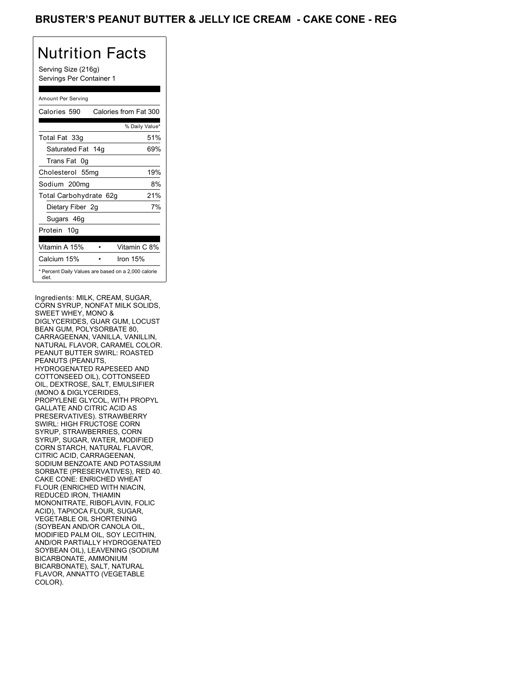## BRUSTER'S PEANUT BUTTER & JELLY ICE CREAM **- CAKE CONE - REG**

## Nutrition Facts

Serving Size (216g) Servings Per Container 1

### Amount Per Serving

| Calories 590                                                 | Calories from Fat 300 |
|--------------------------------------------------------------|-----------------------|
|                                                              | % Daily Value*        |
| Total Fat 33g                                                | 51%                   |
| Saturated Fat 14g                                            | 69%                   |
| Trans Fat 0q                                                 |                       |
| Cholesterol 55mg                                             | 19%                   |
| Sodium 200mg                                                 | 8%                    |
| Total Carbohydrate 62g                                       | 21%                   |
| Dietary Fiber 2g                                             | 7%                    |
| Sugars 46g                                                   |                       |
| Protein 10q                                                  |                       |
| Vitamin A 15%                                                | Vitamin C 8%          |
| Calcium 15%                                                  | Iron 15%              |
| * Percent Daily Values are based on a 2,000 calorie<br>diet. |                       |

Ingredients: MILK, CREAM, SUGAR, CORN SYRUP, NONFAT MILK SOLIDS, SWEET WHEY, MONO & DIGLYCERIDES, GUAR GUM, LOCUST BEAN GUM, POLYSORBATE 80, CARRAGEENAN, VANILLA, VANILLIN, NATURAL FLAVOR, CARAMEL COLOR. PEANUT BUTTER SWIRL: ROASTED PEANUTS (PEANUTS, HYDROGENATED RAPESEED AND COTTONSEED OIL), COTTONSEED OIL, DEXTROSE, SALT, EMULSIFIER (MONO & DIGLYCERIDES, PROPYLENE GLYCOL, WITH PROPYL GALLATE AND CITRIC ACID AS PRESERVATIVES). STRAWBERRY SWIRL: HIGH FRUCTOSE CORN SYRUP, STRAWBERRIES, CORN SYRUP, SUGAR, WATER, MODIFIED CORN STARCH, NATURAL FLAVOR, CITRIC ACID, CARRAGEENAN, SODIUM BENZOATE AND POTASSIUM SORBATE (PRESERVATIVES), RED 40. CAKE CONE: ENRICHED WHEAT FLOUR (ENRICHED WITH NIACIN, REDUCED IRON, THIAMIN MONONITRATE, RIBOFLAVIN, FOLIC ACID), TAPIOCA FLOUR, SUGAR, VEGETABLE OIL SHORTENING (SOYBEAN AND/OR CANOLA OIL, MODIFIED PALM OIL, SOY LECITHIN, AND/OR PARTIALLY HYDROGENATED SOYBEAN OIL), LEAVENING (SODIUM BICARBONATE, AMMONIUM BICARBONATE), SALT, NATURAL FLAVOR, ANNATTO (VEGETABLE COLOR).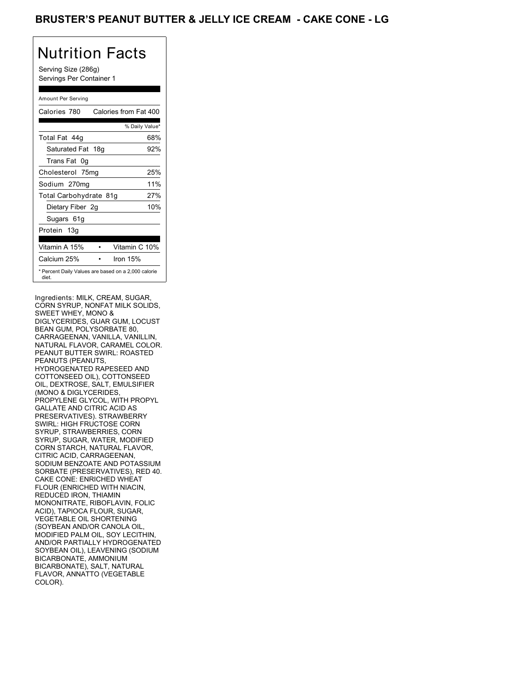## BRUSTER'S PEANUT BUTTER & JELLY ICE CREAM - CAKE CONE - LG

## Nutrition Facts

Serving Size (286g) Servings Per Container 1

### Amount Per Serving

| Calories 780                                                 | Calories from Fat 400 |     |
|--------------------------------------------------------------|-----------------------|-----|
|                                                              | % Daily Value*        |     |
| Total Fat 44q                                                |                       | 68% |
| Saturated Fat 18g                                            |                       | 92% |
| Trans Fat 0q                                                 |                       |     |
| Cholesterol 75mg                                             |                       | 25% |
| Sodium 270mg                                                 |                       | 11% |
| Total Carbohydrate 81g                                       |                       | 27% |
| Dietary Fiber 2g                                             |                       | 10% |
| Sugars 61g                                                   |                       |     |
| Protein 13g                                                  |                       |     |
| Vitamin A 15%                                                | Vitamin C 10%         |     |
| Calcium 25%                                                  | Iron 15%              |     |
| * Percent Daily Values are based on a 2,000 calorie<br>diet. |                       |     |

Ingredients: MILK, CREAM, SUGAR, CORN SYRUP, NONFAT MILK SOLIDS, SWEET WHEY, MONO & DIGLYCERIDES, GUAR GUM, LOCUST BEAN GUM, POLYSORBATE 80, CARRAGEENAN, VANILLA, VANILLIN, NATURAL FLAVOR, CARAMEL COLOR. PEANUT BUTTER SWIRL: ROASTED PEANUTS (PEANUTS, HYDROGENATED RAPESEED AND COTTONSEED OIL), COTTONSEED OIL, DEXTROSE, SALT, EMULSIFIER (MONO & DIGLYCERIDES, PROPYLENE GLYCOL, WITH PROPYL GALLATE AND CITRIC ACID AS PRESERVATIVES). STRAWBERRY SWIRL: HIGH FRUCTOSE CORN SYRUP, STRAWBERRIES, CORN SYRUP, SUGAR, WATER, MODIFIED CORN STARCH, NATURAL FLAVOR, CITRIC ACID, CARRAGEENAN, SODIUM BENZOATE AND POTASSIUM SORBATE (PRESERVATIVES), RED 40. CAKE CONE: ENRICHED WHEAT FLOUR (ENRICHED WITH NIACIN, REDUCED IRON, THIAMIN MONONITRATE, RIBOFLAVIN, FOLIC ACID), TAPIOCA FLOUR, SUGAR, VEGETABLE OIL SHORTENING (SOYBEAN AND/OR CANOLA OIL, MODIFIED PALM OIL, SOY LECITHIN, AND/OR PARTIALLY HYDROGENATED SOYBEAN OIL), LEAVENING (SODIUM BICARBONATE, AMMONIUM BICARBONATE), SALT, NATURAL FLAVOR, ANNATTO (VEGETABLE COLOR).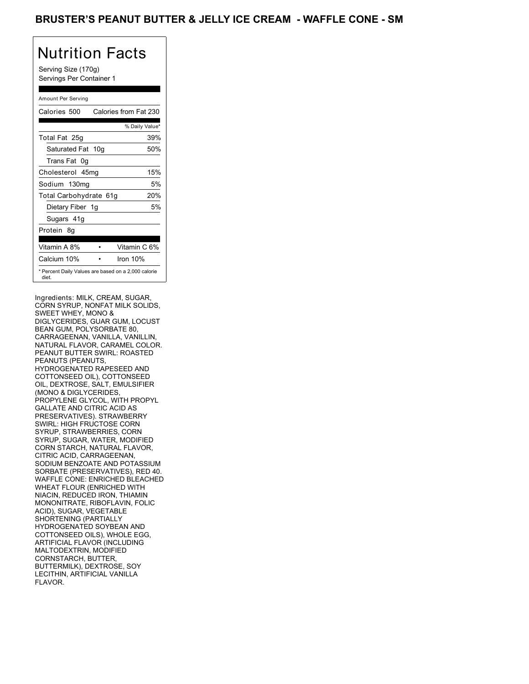## BRUSTER'S PEANUT BUTTER & JELLY ICE CREAM - WAFFLE CONE - SM

## Nutrition Facts

Serving Size (170g) Servings Per Container 1

### Amount Per Serving

| Calories 500                                                 | Calories from Fat 230 |
|--------------------------------------------------------------|-----------------------|
|                                                              | % Daily Value*        |
| Total Fat 25g                                                | 39%                   |
| Saturated Fat 10g                                            | 50%                   |
| Trans Fat 0q                                                 |                       |
| Cholesterol 45mg                                             | 15%                   |
| Sodium 130mg                                                 | 5%                    |
| Total Carbohydrate 61g                                       | 20%                   |
| Dietary Fiber 1g                                             | 5%                    |
| Sugars 41g                                                   |                       |
| Protein 8q                                                   |                       |
| Vitamin A 8%                                                 | Vitamin C 6%          |
| Calcium 10%                                                  | Iron 10%              |
| * Percent Daily Values are based on a 2,000 calorie<br>diet. |                       |

Ingredients: MILK, CREAM, SUGAR, CORN SYRUP, NONFAT MILK SOLIDS, SWEET WHEY, MONO & DIGLYCERIDES, GUAR GUM, LOCUST BEAN GUM, POLYSORBATE 80, CARRAGEENAN, VANILLA, VANILLIN, NATURAL FLAVOR, CARAMEL COLOR. PEANUT BUTTER SWIRL: ROASTED PEANUTS (PEANUTS, HYDROGENATED RAPESEED AND COTTONSEED OIL), COTTONSEED OIL, DEXTROSE, SALT, EMULSIFIER (MONO & DIGLYCERIDES, PROPYLENE GLYCOL, WITH PROPYL GALLATE AND CITRIC ACID AS PRESERVATIVES). STRAWBERRY SWIRL: HIGH FRUCTOSE CORN SYRUP, STRAWBERRIES, CORN SYRUP, SUGAR, WATER, MODIFIED CORN STARCH, NATURAL FLAVOR, CITRIC ACID, CARRAGEENAN, SODIUM BENZOATE AND POTASSIUM SORBATE (PRESERVATIVES), RED 40. WAFFLE CONE: ENRICHED BLEACHED WHEAT FLOUR (ENRICHED WITH NIACIN, REDUCED IRON, THIAMIN MONONITRATE, RIBOFLAVIN, FOLIC ACID), SUGAR, VEGETABLE SHORTENING (PARTIALLY HYDROGENATED SOYBEAN AND COTTONSEED OILS), WHOLE EGG, ARTIFICIAL FLAVOR (INCLUDING MALTODEXTRIN, MODIFIED CORNSTARCH, BUTTER, BUTTERMILK), DEXTROSE, SOY LECITHIN, ARTIFICIAL VANILLA FLAVOR.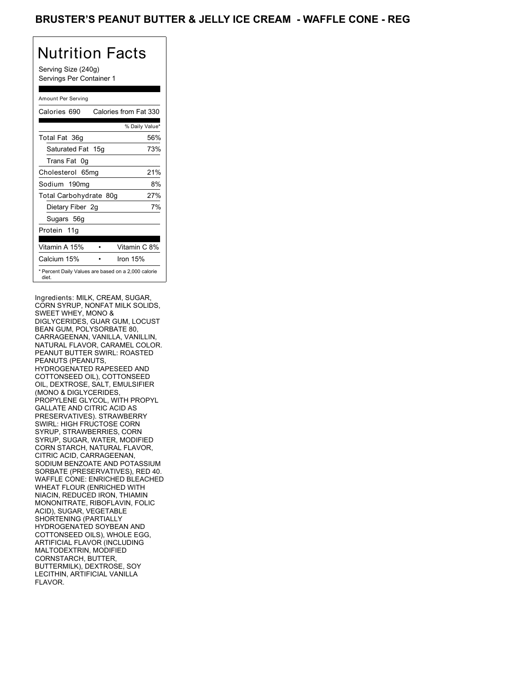## BRUSTER'S PEANUT BUTTER & JELLY ICE CREAM - WAFFLE CONE - REG

## Nutrition Facts

Serving Size (240g) Servings Per Container 1

### Amount Per Serving

| Calories 690                                                 | Calories from Fat 330 |
|--------------------------------------------------------------|-----------------------|
|                                                              | % Daily Value*        |
| Total Fat 36g                                                | 56%                   |
| Saturated Fat 15g                                            | 73%                   |
| Trans Fat 0q                                                 |                       |
| Cholesterol 65mg                                             | 21%                   |
| Sodium 190mg                                                 | 8%                    |
| Total Carbohydrate 80g                                       | 27%                   |
| Dietary Fiber 2g                                             | 7%                    |
| Sugars 56g                                                   |                       |
| Protein 11g                                                  |                       |
| Vitamin A 15%                                                | Vitamin C 8%          |
| Calcium 15%                                                  | Iron 15%              |
| * Percent Daily Values are based on a 2,000 calorie<br>diet. |                       |

Ingredients: MILK, CREAM, SUGAR, CORN SYRUP, NONFAT MILK SOLIDS, SWEET WHEY, MONO & DIGLYCERIDES, GUAR GUM, LOCUST BEAN GUM, POLYSORBATE 80, CARRAGEENAN, VANILLA, VANILLIN, NATURAL FLAVOR, CARAMEL COLOR. PEANUT BUTTER SWIRL: ROASTED PEANUTS (PEANUTS, HYDROGENATED RAPESEED AND COTTONSEED OIL), COTTONSEED OIL, DEXTROSE, SALT, EMULSIFIER (MONO & DIGLYCERIDES, PROPYLENE GLYCOL, WITH PROPYL GALLATE AND CITRIC ACID AS PRESERVATIVES). STRAWBERRY SWIRL: HIGH FRUCTOSE CORN SYRUP, STRAWBERRIES, CORN SYRUP, SUGAR, WATER, MODIFIED CORN STARCH, NATURAL FLAVOR, CITRIC ACID, CARRAGEENAN, SODIUM BENZOATE AND POTASSIUM SORBATE (PRESERVATIVES), RED 40. WAFFLE CONE: ENRICHED BLEACHED WHEAT FLOUR (ENRICHED WITH NIACIN, REDUCED IRON, THIAMIN MONONITRATE, RIBOFLAVIN, FOLIC ACID), SUGAR, VEGETABLE SHORTENING (PARTIALLY HYDROGENATED SOYBEAN AND COTTONSEED OILS), WHOLE EGG, ARTIFICIAL FLAVOR (INCLUDING MALTODEXTRIN, MODIFIED CORNSTARCH, BUTTER, BUTTERMILK), DEXTROSE, SOY LECITHIN, ARTIFICIAL VANILLA FLAVOR.